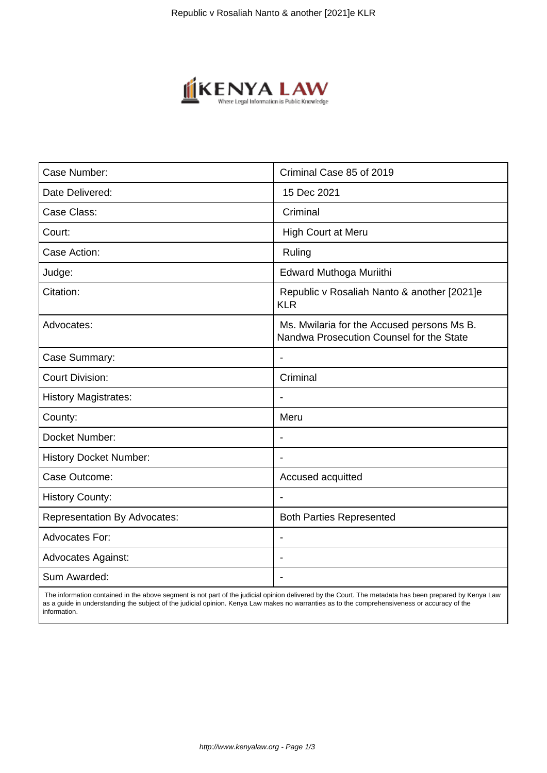

| Case Number:                        | Criminal Case 85 of 2019                                                               |
|-------------------------------------|----------------------------------------------------------------------------------------|
| Date Delivered:                     | 15 Dec 2021                                                                            |
| Case Class:                         | Criminal                                                                               |
| Court:                              | <b>High Court at Meru</b>                                                              |
| Case Action:                        | Ruling                                                                                 |
| Judge:                              | Edward Muthoga Muriithi                                                                |
| Citation:                           | Republic v Rosaliah Nanto & another [2021]e<br><b>KLR</b>                              |
| Advocates:                          | Ms. Mwilaria for the Accused persons Ms B.<br>Nandwa Prosecution Counsel for the State |
| Case Summary:                       | $\blacksquare$                                                                         |
| <b>Court Division:</b>              | Criminal                                                                               |
| <b>History Magistrates:</b>         |                                                                                        |
| County:                             | Meru                                                                                   |
| Docket Number:                      | $\overline{\phantom{a}}$                                                               |
| <b>History Docket Number:</b>       | $\blacksquare$                                                                         |
| Case Outcome:                       | Accused acquitted                                                                      |
| <b>History County:</b>              |                                                                                        |
| <b>Representation By Advocates:</b> | <b>Both Parties Represented</b>                                                        |
| <b>Advocates For:</b>               |                                                                                        |
| <b>Advocates Against:</b>           |                                                                                        |
| Sum Awarded:                        |                                                                                        |
|                                     |                                                                                        |

 The information contained in the above segment is not part of the judicial opinion delivered by the Court. The metadata has been prepared by Kenya Law as a guide in understanding the subject of the judicial opinion. Kenya Law makes no warranties as to the comprehensiveness or accuracy of the information.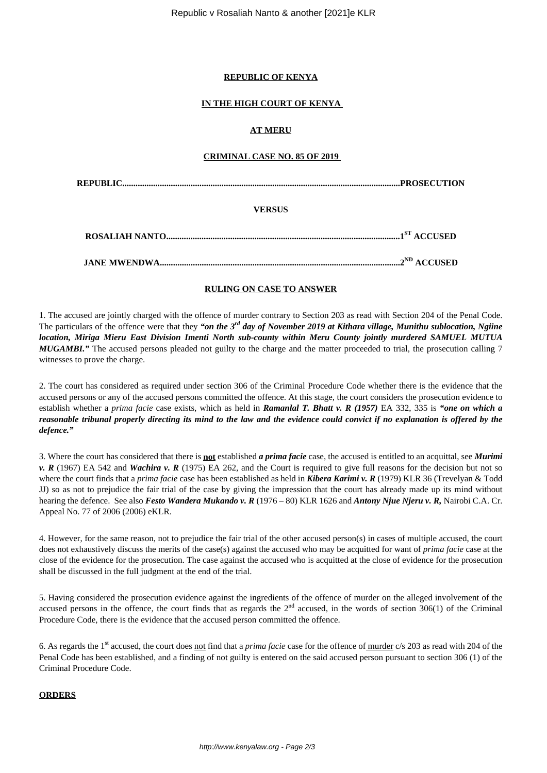#### **REPUBLIC OF KENYA**

#### **IN THE HIGH COURT OF KENYA**

### **AT MERU**

#### **CRIMINAL CASE NO. 85 OF 2019**

**REPUBLIC..............................................................................................................................PROSECUTION**

#### **VERSUS**

**JANE MWENDWA.............................................................................................................2ND ACCUSED**

## **RULING ON CASE TO ANSWER**

1. The accused are jointly charged with the offence of murder contrary to Section 203 as read with Section 204 of the Penal Code. The particulars of the offence were that they *"on the 3rd day of November 2019 at Kithara village, Munithu sublocation, Ngiine location, Miriga Mieru East Division Imenti North sub-county within Meru County jointly murdered SAMUEL MUTUA MUGAMBI.*" The accused persons pleaded not guilty to the charge and the matter proceeded to trial, the prosecution calling 7 witnesses to prove the charge.

2. The court has considered as required under section 306 of the Criminal Procedure Code whether there is the evidence that the accused persons or any of the accused persons committed the offence. At this stage, the court considers the prosecution evidence to establish whether a *prima facie* case exists, which as held in *Ramanlal T. Bhatt v. R (1957)* EA 332, 335 is *"one on which a reasonable tribunal properly directing its mind to the law and the evidence could convict if no explanation is offered by the defence."*

3. Where the court has considered that there is **not** established *a prima facie* case, the accused is entitled to an acquittal, see *Murimi v. R* (1967) EA 542 and *Wachira v. R* (1975) EA 262, and the Court is required to give full reasons for the decision but not so where the court finds that a *prima facie* case has been established as held in *Kibera Karimi v. R* (1979) KLR 36 (Trevelyan & Todd JJ) so as not to prejudice the fair trial of the case by giving the impression that the court has already made up its mind without hearing the defence. See also *Festo Wandera Mukando v. R* (1976 – 80) KLR 1626 and *Antony Njue Njeru v. R,* Nairobi C.A. Cr. Appeal No. 77 of 2006 (2006) eKLR.

4. However, for the same reason, not to prejudice the fair trial of the other accused person(s) in cases of multiple accused, the court does not exhaustively discuss the merits of the case(s) against the accused who may be acquitted for want of *prima facie* case at the close of the evidence for the prosecution. The case against the accused who is acquitted at the close of evidence for the prosecution shall be discussed in the full judgment at the end of the trial.

5. Having considered the prosecution evidence against the ingredients of the offence of murder on the alleged involvement of the accused persons in the offence, the court finds that as regards the  $2<sup>nd</sup>$  accused, in the words of section 306(1) of the Criminal Procedure Code, there is the evidence that the accused person committed the offence.

6. As regards the 1st accused, the court does not find that a *prima facie* case for the offence of murder c/s 203 as read with 204 of the Penal Code has been established, and a finding of not guilty is entered on the said accused person pursuant to section 306 (1) of the Criminal Procedure Code.

#### **ORDERS**